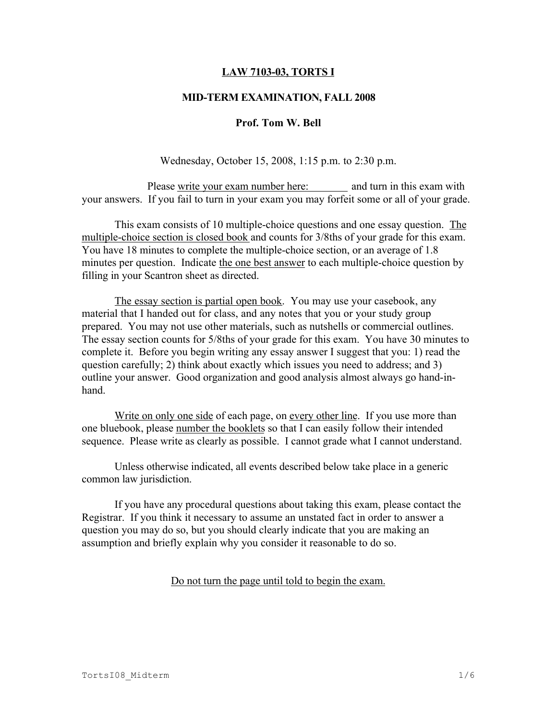## LAW 7103-03, TORTS I

### MID-TERM EXAMINATION, FALL 2008

#### Prof. Tom W. Bell

Wednesday, October 15, 2008, 1:15 p.m. to 2:30 p.m.

Please write your exam number here: and turn in this exam with your answers. If you fail to turn in your exam you may forfeit some or all of your grade.

This exam consists of 10 multiple-choice questions and one essay question. The multiple-choice section is closed book and counts for 3/8ths of your grade for this exam. You have 18 minutes to complete the multiple-choice section, or an average of 1.8 minutes per question. Indicate the one best answer to each multiple-choice question by filling in your Scantron sheet as directed.

The essay section is partial open book. You may use your casebook, any material that I handed out for class, and any notes that you or your study group prepared. You may not use other materials, such as nutshells or commercial outlines. The essay section counts for 5/8ths of your grade for this exam. You have 30 minutes to complete it. Before you begin writing any essay answer I suggest that you: 1) read the question carefully; 2) think about exactly which issues you need to address; and 3) outline your answer. Good organization and good analysis almost always go hand-inhand.

Write on only one side of each page, on every other line. If you use more than one bluebook, please number the booklets so that I can easily follow their intended sequence. Please write as clearly as possible. I cannot grade what I cannot understand.

Unless otherwise indicated, all events described below take place in a generic common law jurisdiction.

If you have any procedural questions about taking this exam, please contact the Registrar. If you think it necessary to assume an unstated fact in order to answer a question you may do so, but you should clearly indicate that you are making an assumption and briefly explain why you consider it reasonable to do so.

Do not turn the page until told to begin the exam.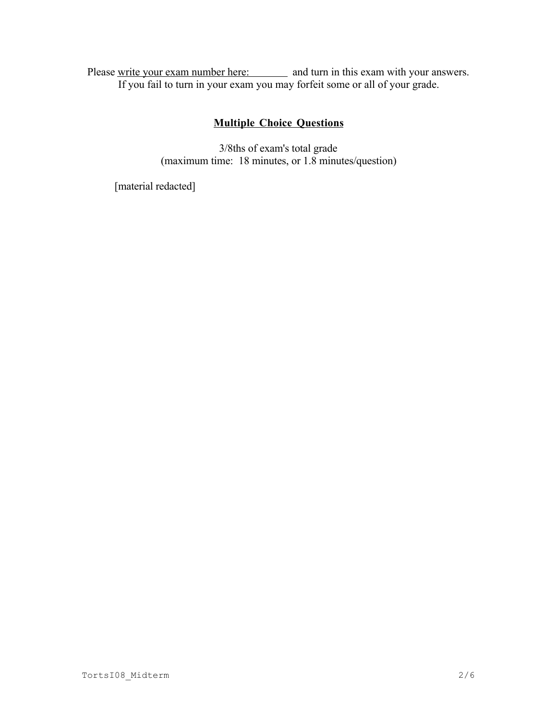Please write your exam number here: and turn in this exam with your answers. If you fail to turn in your exam you may forfeit some or all of your grade.

# Multiple Choice Questions

3/8ths of exam's total grade (maximum time: 18 minutes, or 1.8 minutes/question)

[material redacted]